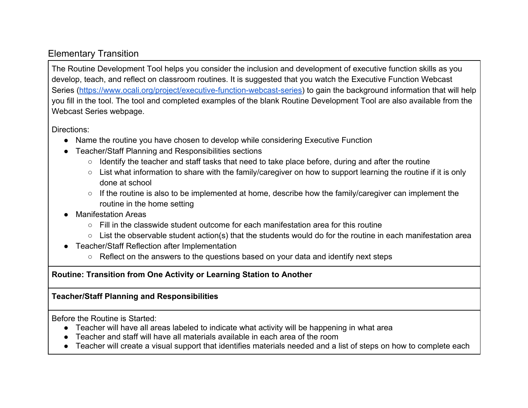## Elementary Transition

The Routine Development Tool helps you consider the inclusion and development of executive function skills as you develop, teach, and reflect on classroom routines. It is suggested that you watch the Executive Function Webcast Series [\(https://www.ocali.org/project/executive-function-webcast-series\)](https://www.ocali.org/project/executive-function-webcast-series) to gain the background information that will help you fill in the tool. The tool and completed examples of the blank Routine Development Tool are also available from the Webcast Series webpage.

Directions:

- Name the routine you have chosen to develop while considering Executive Function
- Teacher/Staff Planning and Responsibilities sections
	- Identify the teacher and staff tasks that need to take place before, during and after the routine
	- List what information to share with the family/caregiver on how to support learning the routine if it is only done at school
	- If the routine is also to be implemented at home, describe how the family/caregiver can implement the routine in the home setting
- **Manifestation Areas** 
	- $\circ$  Fill in the classwide student outcome for each manifestation area for this routine
	- List the observable student action(s) that the students would do for the routine in each manifestation area
- Teacher/Staff Reflection after Implementation
	- Reflect on the answers to the questions based on your data and identify next steps

## **Routine: Transition from One Activity or Learning Station to Another**

## **Teacher/Staff Planning and Responsibilities**

Before the Routine is Started:

- Teacher will have all areas labeled to indicate what activity will be happening in what area
- Teacher and staff will have all materials available in each area of the room
- Teacher will create a visual support that identifies materials needed and a list of steps on how to complete each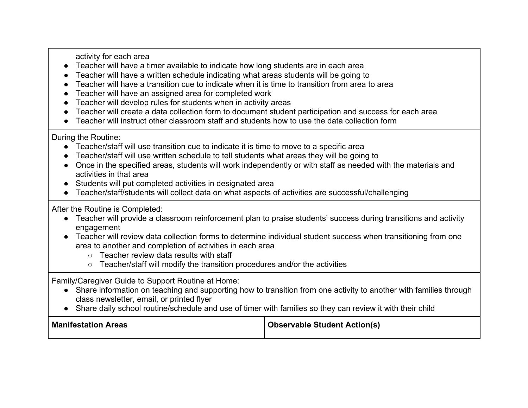activity for each area

- Teacher will have a timer available to indicate how long students are in each area
- Teacher will have a written schedule indicating what areas students will be going to
- Teacher will have a transition cue to indicate when it is time to transition from area to area
- Teacher will have an assigned area for completed work
- Teacher will develop rules for students when in activity areas
- Teacher will create a data collection form to document student participation and success for each area
- Teacher will instruct other classroom staff and students how to use the data collection form

During the Routine:

- Teacher/staff will use transition cue to indicate it is time to move to a specific area
- Teacher/staff will use written schedule to tell students what areas they will be going to
- Once in the specified areas, students will work independently or with staff as needed with the materials and activities in that area
- Students will put completed activities in designated area
- Teacher/staff/students will collect data on what aspects of activities are successful/challenging

After the Routine is Completed:

- Teacher will provide a classroom reinforcement plan to praise students' success during transitions and activity engagement
- Teacher will review data collection forms to determine individual student success when transitioning from one area to another and completion of activities in each area
	- Teacher review data results with staff
	- Teacher/staff will modify the transition procedures and/or the activities

Family/Caregiver Guide to Support Routine at Home:

- Share information on teaching and supporting how to transition from one activity to another with families through class newsletter, email, or printed flyer
- Share daily school routine/schedule and use of timer with families so they can review it with their child

| <b>Manifestation Areas</b> | <b>Observable Student Action(s)</b> |
|----------------------------|-------------------------------------|
|----------------------------|-------------------------------------|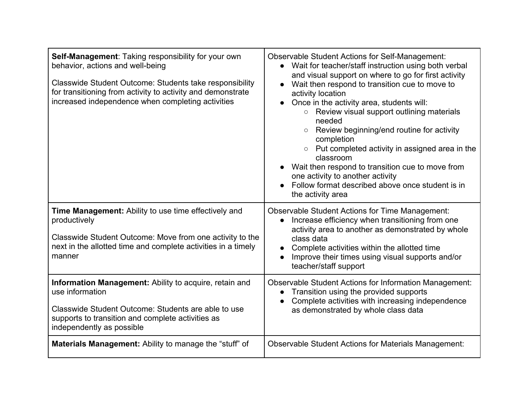| Self-Management: Taking responsibility for your own<br>behavior, actions and well-being<br>Classwide Student Outcome: Students take responsibility<br>for transitioning from activity to activity and demonstrate<br>increased independence when completing activities | <b>Observable Student Actions for Self-Management:</b><br>• Wait for teacher/staff instruction using both verbal<br>and visual support on where to go for first activity<br>Wait then respond to transition cue to move to<br>activity location<br>Once in the activity area, students will:<br>○ Review visual support outlining materials<br>needed<br>Review beginning/end routine for activity<br>completion<br>$\circ$ Put completed activity in assigned area in the<br>classroom<br>Wait then respond to transition cue to move from<br>one activity to another activity<br>Follow format described above once student is in<br>the activity area |
|------------------------------------------------------------------------------------------------------------------------------------------------------------------------------------------------------------------------------------------------------------------------|----------------------------------------------------------------------------------------------------------------------------------------------------------------------------------------------------------------------------------------------------------------------------------------------------------------------------------------------------------------------------------------------------------------------------------------------------------------------------------------------------------------------------------------------------------------------------------------------------------------------------------------------------------|
| <b>Time Management:</b> Ability to use time effectively and<br>productively<br>Classwide Student Outcome: Move from one activity to the<br>next in the allotted time and complete activities in a timely<br>manner                                                     | <b>Observable Student Actions for Time Management:</b><br>Increase efficiency when transitioning from one<br>$\bullet$<br>activity area to another as demonstrated by whole<br>class data<br>Complete activities within the allotted time<br>Improve their times using visual supports and/or<br>teacher/staff support                                                                                                                                                                                                                                                                                                                                   |
| Information Management: Ability to acquire, retain and<br>use information<br>Classwide Student Outcome: Students are able to use<br>supports to transition and complete activities as<br>independently as possible                                                     | <b>Observable Student Actions for Information Management:</b><br>Transition using the provided supports<br>$\bullet$<br>Complete activities with increasing independence<br>as demonstrated by whole class data                                                                                                                                                                                                                                                                                                                                                                                                                                          |
| <b>Materials Management:</b> Ability to manage the "stuff" of                                                                                                                                                                                                          | <b>Observable Student Actions for Materials Management:</b>                                                                                                                                                                                                                                                                                                                                                                                                                                                                                                                                                                                              |